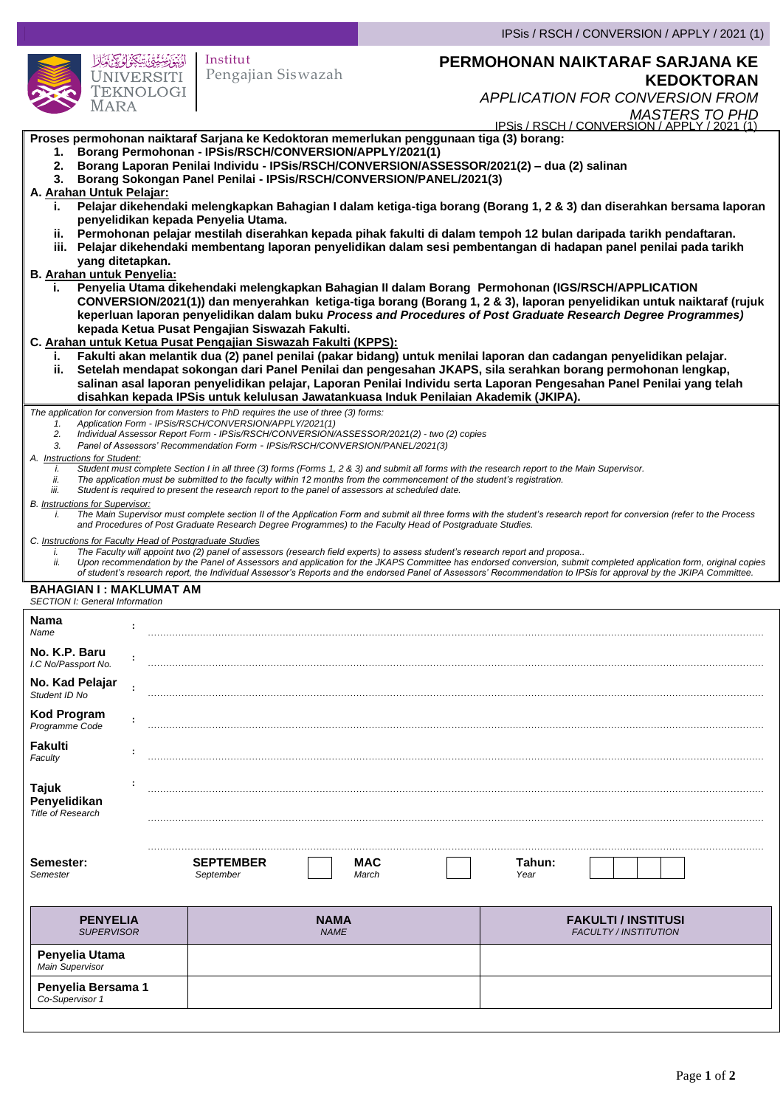|                                                                                                                                                                                                                                                                                                                                                                                                                                                                                                                                                                                                                                                                                                                                                                                                                                                                                                                                                                                                                                                                                                                                                                                                                                                                                                                                                                                                                                                                                                                                                                                                                                                                                                                                                                 |                                |              | IPSis / RSCH / CONVERSION / APPLY / 2021 (1)                                                                                                |                   |  |  |
|-----------------------------------------------------------------------------------------------------------------------------------------------------------------------------------------------------------------------------------------------------------------------------------------------------------------------------------------------------------------------------------------------------------------------------------------------------------------------------------------------------------------------------------------------------------------------------------------------------------------------------------------------------------------------------------------------------------------------------------------------------------------------------------------------------------------------------------------------------------------------------------------------------------------------------------------------------------------------------------------------------------------------------------------------------------------------------------------------------------------------------------------------------------------------------------------------------------------------------------------------------------------------------------------------------------------------------------------------------------------------------------------------------------------------------------------------------------------------------------------------------------------------------------------------------------------------------------------------------------------------------------------------------------------------------------------------------------------------------------------------------------------|--------------------------------|--------------|---------------------------------------------------------------------------------------------------------------------------------------------|-------------------|--|--|
| ڹؽۣۊؽڗؽڮۮٟۮٳۮۥڮٵۥؙؙؙۺؘٲۮ<br><b>UNIVERSITI</b><br>TEKNOLOGI<br>Mara                                                                                                                                                                                                                                                                                                                                                                                                                                                                                                                                                                                                                                                                                                                                                                                                                                                                                                                                                                                                                                                                                                                                                                                                                                                                                                                                                                                                                                                                                                                                                                                                                                                                                              | Institut<br>Pengajian Siswazah |              | PERMOHONAN NAIKTARAF SARJANA KE<br><b>APPLICATION FOR CONVERSION FROM</b><br>MASTERS TO PHD<br>IPSis / RSCH / CONVERSION / APPLY / 2021 (1) | <b>KEDOKTORAN</b> |  |  |
| Proses permohonan naiktaraf Sarjana ke Kedoktoran memerlukan penggunaan tiga (3) borang:<br>1. Borang Permohonan - IPSis/RSCH/CONVERSION/APPLY/2021(1)<br>2. Borang Laporan Penilai Individu - IPSis/RSCH/CONVERSION/ASSESSOR/2021(2) - dua (2) salinan<br>3. Borang Sokongan Panel Penilai - IPSis/RSCH/CONVERSION/PANEL/2021(3)<br>A. Arahan Untuk Pelajar:<br>Pelajar dikehendaki melengkapkan Bahagian I dalam ketiga-tiga borang (Borang 1, 2 & 3) dan diserahkan bersama laporan<br>i.<br>penyelidikan kepada Penyelia Utama.<br>ii. Permohonan pelajar mestilah diserahkan kepada pihak fakulti di dalam tempoh 12 bulan daripada tarikh pendaftaran.<br>iii. Pelajar dikehendaki membentang laporan penyelidikan dalam sesi pembentangan di hadapan panel penilai pada tarikh<br>yang ditetapkan.<br>B. Arahan untuk Penyelia:<br>Penyelia Utama dikehendaki melengkapkan Bahagian II dalam Borang Permohonan (IGS/RSCH/APPLICATION<br>i.,<br>CONVERSION/2021(1)) dan menyerahkan ketiga-tiga borang (Borang 1, 2 & 3), laporan penyelidikan untuk naiktaraf (rujuk<br>keperluan laporan penyelidikan dalam buku Process and Procedures of Post Graduate Research Degree Programmes)<br>kepada Ketua Pusat Pengajian Siswazah Fakulti.<br>C. Arahan untuk Ketua Pusat Pengajian Siswazah Fakulti (KPPS):<br>Fakulti akan melantik dua (2) panel penilai (pakar bidang) untuk menilai laporan dan cadangan penyelidikan pelajar.<br>i.<br>Setelah mendapat sokongan dari Panel Penilai dan pengesahan JKAPS, sila serahkan borang permohonan lengkap,<br>ii.<br>salinan asal laporan penyelidikan pelajar, Laporan Penilai Individu serta Laporan Pengesahan Panel Penilai yang telah                                                                    |                                |              |                                                                                                                                             |                   |  |  |
| disahkan kepada IPSis untuk kelulusan Jawatankuasa Induk Penilaian Akademik (JKIPA).<br>The application for conversion from Masters to PhD requires the use of three (3) forms:<br>Application Form - IPSis/RSCH/CONVERSION/APPLY/2021(1)<br>1.<br>2.<br>Individual Assessor Report Form - IPSis/RSCH/CONVERSION/ASSESSOR/2021(2) - two (2) copies<br>Panel of Assessors' Recommendation Form - IPSis/RSCH/CONVERSION/PANEL/2021(3)<br>3.<br>A. Instructions for Student:<br>Student must complete Section I in all three (3) forms (Forms 1, 2 & 3) and submit all forms with the research report to the Main Supervisor.<br>i.<br>ii.<br>The application must be submitted to the faculty within 12 months from the commencement of the student's registration.<br>Student is required to present the research report to the panel of assessors at scheduled date.<br>iii.<br>B. Instructions for Supervisor:<br>The Main Supervisor must complete section II of the Application Form and submit all three forms with the student's research report for conversion (refer to the Process<br>i.<br>and Procedures of Post Graduate Research Degree Programmes) to the Faculty Head of Postgraduate Studies.<br>C. Instructions for Faculty Head of Postgraduate Studies<br>The Faculty will appoint two (2) panel of assessors (research field experts) to assess student's research report and proposa<br>i.<br>Upon recommendation by the Panel of Assessors and application for the JKAPS Committee has endorsed conversion, submit completed application form, original copies<br>ii.<br>of student's research report, the Individual Assessor's Reports and the endorsed Panel of Assessors' Recommendation to IPSis for approval by the JKIPA Committee. |                                |              |                                                                                                                                             |                   |  |  |
| <b>BAHAGIAN I: MAKLUMAT AM</b><br><b>SECTION I: General Information</b>                                                                                                                                                                                                                                                                                                                                                                                                                                                                                                                                                                                                                                                                                                                                                                                                                                                                                                                                                                                                                                                                                                                                                                                                                                                                                                                                                                                                                                                                                                                                                                                                                                                                                         |                                |              |                                                                                                                                             |                   |  |  |
| Nama<br>Name<br>No. K.P. Baru                                                                                                                                                                                                                                                                                                                                                                                                                                                                                                                                                                                                                                                                                                                                                                                                                                                                                                                                                                                                                                                                                                                                                                                                                                                                                                                                                                                                                                                                                                                                                                                                                                                                                                                                   |                                |              |                                                                                                                                             |                   |  |  |
| I.C No/Passport No.<br>No. Kad Pelajar<br>Student ID No                                                                                                                                                                                                                                                                                                                                                                                                                                                                                                                                                                                                                                                                                                                                                                                                                                                                                                                                                                                                                                                                                                                                                                                                                                                                                                                                                                                                                                                                                                                                                                                                                                                                                                         |                                |              |                                                                                                                                             |                   |  |  |
| <b>Kod Program</b><br>Programme Code                                                                                                                                                                                                                                                                                                                                                                                                                                                                                                                                                                                                                                                                                                                                                                                                                                                                                                                                                                                                                                                                                                                                                                                                                                                                                                                                                                                                                                                                                                                                                                                                                                                                                                                            |                                |              |                                                                                                                                             |                   |  |  |
| <b>Fakulti</b><br>Faculty                                                                                                                                                                                                                                                                                                                                                                                                                                                                                                                                                                                                                                                                                                                                                                                                                                                                                                                                                                                                                                                                                                                                                                                                                                                                                                                                                                                                                                                                                                                                                                                                                                                                                                                                       |                                |              |                                                                                                                                             |                   |  |  |
| <b>Tajuk</b><br>Penyelidikan<br><b>Title of Research</b>                                                                                                                                                                                                                                                                                                                                                                                                                                                                                                                                                                                                                                                                                                                                                                                                                                                                                                                                                                                                                                                                                                                                                                                                                                                                                                                                                                                                                                                                                                                                                                                                                                                                                                        |                                |              |                                                                                                                                             |                   |  |  |
| Semester:<br>Semester                                                                                                                                                                                                                                                                                                                                                                                                                                                                                                                                                                                                                                                                                                                                                                                                                                                                                                                                                                                                                                                                                                                                                                                                                                                                                                                                                                                                                                                                                                                                                                                                                                                                                                                                           | <b>SEPTEMBER</b><br>September  | MAC<br>March | Tahun:<br>Year                                                                                                                              |                   |  |  |
| <b>PENYELIA</b><br><b>SUPERVISOR</b>                                                                                                                                                                                                                                                                                                                                                                                                                                                                                                                                                                                                                                                                                                                                                                                                                                                                                                                                                                                                                                                                                                                                                                                                                                                                                                                                                                                                                                                                                                                                                                                                                                                                                                                            | NAMA<br><b>NAME</b>            |              | <b>FAKULTI / INSTITUSI</b><br><b>FACULTY / INSTITUTION</b>                                                                                  |                   |  |  |
| Penyelia Utama                                                                                                                                                                                                                                                                                                                                                                                                                                                                                                                                                                                                                                                                                                                                                                                                                                                                                                                                                                                                                                                                                                                                                                                                                                                                                                                                                                                                                                                                                                                                                                                                                                                                                                                                                  |                                |              |                                                                                                                                             |                   |  |  |